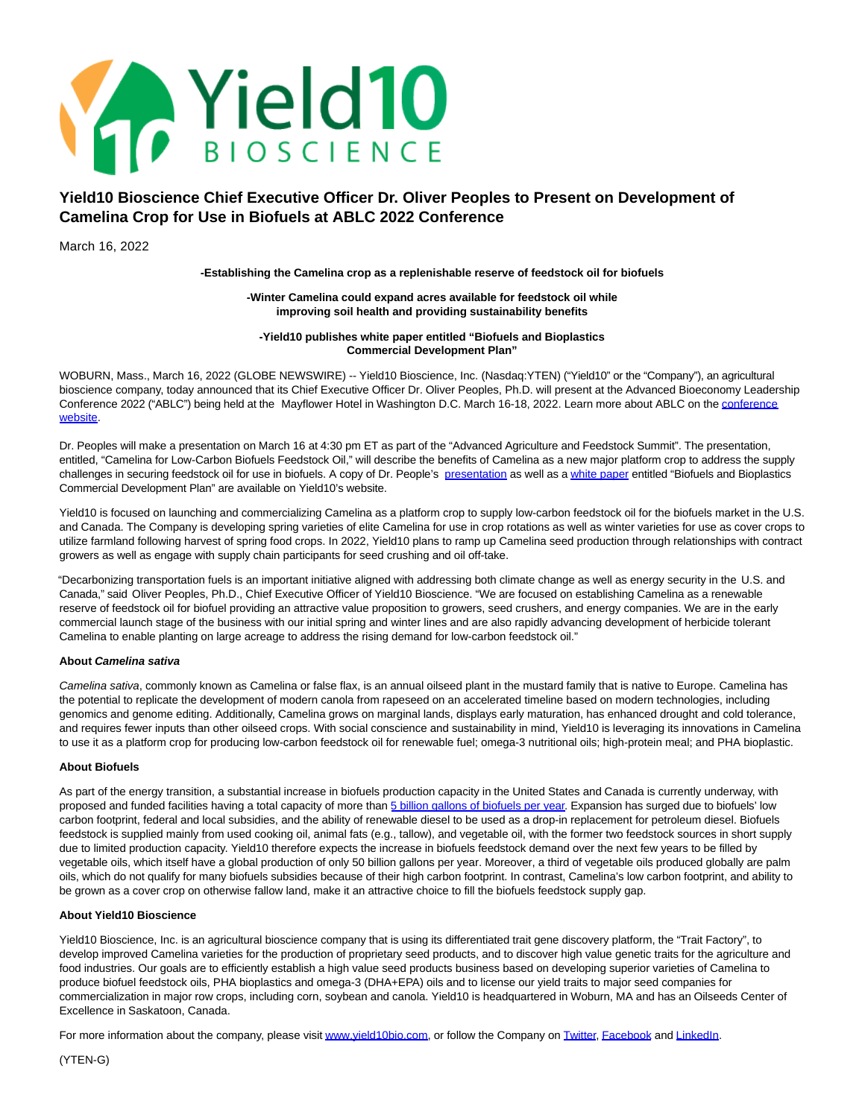

# **Yield10 Bioscience Chief Executive Officer Dr. Oliver Peoples to Present on Development of Camelina Crop for Use in Biofuels at ABLC 2022 Conference**

March 16, 2022

**-Establishing the Camelina crop as a replenishable reserve of feedstock oil for biofuels**

### **-Winter Camelina could expand acres available for feedstock oil while improving soil health and providing sustainability benefits**

### **-Yield10 publishes white paper entitled "Biofuels and Bioplastics Commercial Development Plan"**

WOBURN, Mass., March 16, 2022 (GLOBE NEWSWIRE) -- Yield10 Bioscience, Inc. (Nasdaq:YTEN) ("Yield10" or the "Company"), an agricultural bioscience company, today announced that its Chief Executive Officer Dr. Oliver Peoples, Ph.D. will present at the Advanced Bioeconomy Leadership Conference 2022 ("ABLC") being held at the Mayflower Hotel in Washington D.C. March 16-18, 2022. Learn more about ABLC on th[e conference](https://www.globenewswire.com/Tracker?data=vKS2eEiKBI45VizpEoo2K_RGQvyIJsBxUPiZ2gHkb6frDrmWjEKrJ8Io_2nwyRU5MrW3Qwo_Oi9t0c0hj9iEWRRZGkkPMASLC_sVAyO29uo=) website.

Dr. Peoples will make a presentation on March 16 at 4:30 pm ET as part of the "Advanced Agriculture and Feedstock Summit". The presentation, entitled, "Camelina for Low-Carbon Biofuels Feedstock Oil," will describe the benefits of Camelina as a new major platform crop to address the supply challenges in securing feedstock oil for use in biofuels. A copy of Dr. People's [presentation a](https://www.globenewswire.com/Tracker?data=jTr3vJoaXMG4X6zptCwsJd8_-JuueJAc0XmpdY7CbpNmOGBvq7clxtvDkHNBpEes_CeQf_fvFcttGBfe4vWuDl9NiCz98V4Yru_QdfFpWDAAjcfnTUOxV6iG4gQQThrCTnIZ-lCyptv3T2oynKvNpw==)s well as [a white paper e](https://www.globenewswire.com/Tracker?data=-LRh-tGzo8W2ddDziN-mYtMy-U15gqx2w0p54loDsqLoTRLO81edLG636pAeAMJj_KTMI_C1_R_-C9IZ0S8y3KKKr2RfVsfIRh4SMXmrvVg=)ntitled "Biofuels and Bioplastics Commercial Development Plan" are available on Yield10's website.

Yield10 is focused on launching and commercializing Camelina as a platform crop to supply low-carbon feedstock oil for the biofuels market in the U.S. and Canada. The Company is developing spring varieties of elite Camelina for use in crop rotations as well as winter varieties for use as cover crops to utilize farmland following harvest of spring food crops. In 2022, Yield10 plans to ramp up Camelina seed production through relationships with contract growers as well as engage with supply chain participants for seed crushing and oil off-take.

"Decarbonizing transportation fuels is an important initiative aligned with addressing both climate change as well as energy security in the U.S. and Canada," said Oliver Peoples, Ph.D., Chief Executive Officer of Yield10 Bioscience. "We are focused on establishing Camelina as a renewable reserve of feedstock oil for biofuel providing an attractive value proposition to growers, seed crushers, and energy companies. We are in the early commercial launch stage of the business with our initial spring and winter lines and are also rapidly advancing development of herbicide tolerant Camelina to enable planting on large acreage to address the rising demand for low-carbon feedstock oil."

## **About Camelina sativa**

Camelina sativa, commonly known as Camelina or false flax, is an annual oilseed plant in the mustard family that is native to Europe. Camelina has the potential to replicate the development of modern canola from rapeseed on an accelerated timeline based on modern technologies, including genomics and genome editing. Additionally, Camelina grows on marginal lands, displays early maturation, has enhanced drought and cold tolerance, and requires fewer inputs than other oilseed crops. With social conscience and sustainability in mind, Yield10 is leveraging its innovations in Camelina to use it as a platform crop for producing low-carbon feedstock oil for renewable fuel; omega-3 nutritional oils; high-protein meal; and PHA bioplastic.

## **About Biofuels**

As part of the energy transition, a substantial increase in biofuels production capacity in the United States and Canada is currently underway, with proposed and funded facilities having a total capacity of more than [5 billion gallons of biofuels per year.](https://www.globenewswire.com/Tracker?data=NvphcEAeNrYjrZOEIh_c2upubkIhyXVHIJsGZCPROAcSV3TaOf1uIUo5OzynB-WzPqLSsrcNsL_Z0w0MP6JtTYvf0KSB28RDN3-x0VWhNXX8zyYz9SyDllDAXocRYjBDdZxM3VKQuEsBhXeucUA4bXkCXu61o4BxgljjkRkAFeZDa3wlAbpoWO8ACy-kShaY) Expansion has surged due to biofuels' low carbon footprint, federal and local subsidies, and the ability of renewable diesel to be used as a drop-in replacement for petroleum diesel. Biofuels feedstock is supplied mainly from used cooking oil, animal fats (e.g., tallow), and vegetable oil, with the former two feedstock sources in short supply due to limited production capacity. Yield10 therefore expects the increase in biofuels feedstock demand over the next few years to be filled by vegetable oils, which itself have a global production of only 50 billion gallons per year. Moreover, a third of vegetable oils produced globally are palm oils, which do not qualify for many biofuels subsidies because of their high carbon footprint. In contrast, Camelina's low carbon footprint, and ability to be grown as a cover crop on otherwise fallow land, make it an attractive choice to fill the biofuels feedstock supply gap.

#### **About Yield10 Bioscience**

Yield10 Bioscience, Inc. is an agricultural bioscience company that is using its differentiated trait gene discovery platform, the "Trait Factory", to develop improved Camelina varieties for the production of proprietary seed products, and to discover high value genetic traits for the agriculture and food industries. Our goals are to efficiently establish a high value seed products business based on developing superior varieties of Camelina to produce biofuel feedstock oils, PHA bioplastics and omega-3 (DHA+EPA) oils and to license our yield traits to major seed companies for commercialization in major row crops, including corn, soybean and canola. Yield10 is headquartered in Woburn, MA and has an Oilseeds Center of Excellence in Saskatoon, Canada.

For more information about the company, please visi[t www.yield10bio.com,](https://www.globenewswire.com/Tracker?data=30u8tg31OlGhC35w8KfEdFG4Z57Twld7Xw0oG6C6yaTxb32ILVR4s2O6NVhdn59DXfyBFCGTQjsS-_eQH1NMVlQS7q6PNL_8U53E6RiG52g=) or follow the Company on [Twitter,](https://www.globenewswire.com/Tracker?data=p9waGiWN-wE4FLTR4lwkvdBwOTgo5xhbc0vDvFzKWYN-7H_49c3tBviz4kOSBRYLQ7dZG7lncaSnC7ds_t6rEg==) [Facebook a](https://www.globenewswire.com/Tracker?data=DddlZDYg9jckc3UVSP9ZzHitROxonRqonFngXBY6rLUWxAhz8QgnA5RBPtyQyC_KKtvwBLf53c2Wlu1RznMIqWnZMAJot9q1c07YPu3aG94=)nd [LinkedIn.](https://www.globenewswire.com/Tracker?data=wlfEr7qn4gpA8xxG8SG7yoL5oFVNYidE6KSZW0F1w8_YosEXEafo_BNYDh-5hkOshb-hILmXZRXjsGNCLY01-FeDPnz6zFIu8Atr56RWdthKATGzsBksYAjXltphtIbB)